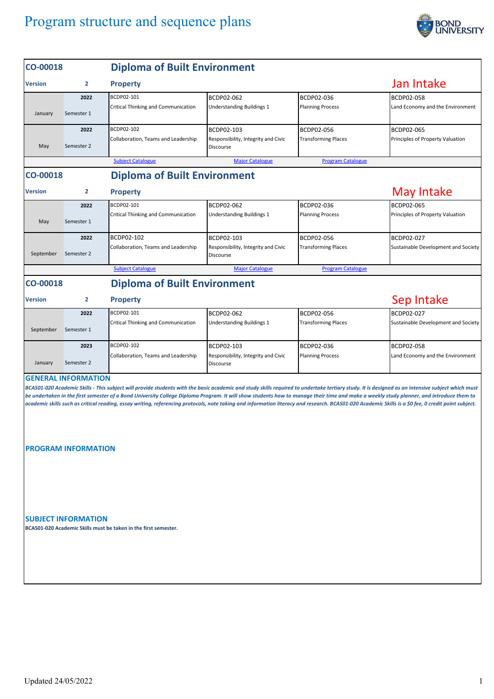## Program structure and sequence plans



| CO-00018                                                                                                                                                                                                                                                                                                                                                                                                                                                                                                                                                                                                                         |                | <b>Diploma of Built Environment</b> |                                                         |                            |                                     |  |  |  |  |
|----------------------------------------------------------------------------------------------------------------------------------------------------------------------------------------------------------------------------------------------------------------------------------------------------------------------------------------------------------------------------------------------------------------------------------------------------------------------------------------------------------------------------------------------------------------------------------------------------------------------------------|----------------|-------------------------------------|---------------------------------------------------------|----------------------------|-------------------------------------|--|--|--|--|
| Version                                                                                                                                                                                                                                                                                                                                                                                                                                                                                                                                                                                                                          | $\overline{2}$ | <b>Property</b>                     | Jan Intake                                              |                            |                                     |  |  |  |  |
|                                                                                                                                                                                                                                                                                                                                                                                                                                                                                                                                                                                                                                  | 2022           | BCDP02-101                          | BCDP02-062                                              | BCDP02-036                 | <b>BCDP02-058</b>                   |  |  |  |  |
| January                                                                                                                                                                                                                                                                                                                                                                                                                                                                                                                                                                                                                          | Semester 1     | Critical Thinking and Communication | <b>Understanding Buildings 1</b>                        | <b>Planning Process</b>    | Land Economy and the Environment    |  |  |  |  |
|                                                                                                                                                                                                                                                                                                                                                                                                                                                                                                                                                                                                                                  | 2022           | BCDP02-102                          | BCDP02-103                                              | BCDP02-056                 | BCDP02-065                          |  |  |  |  |
| May                                                                                                                                                                                                                                                                                                                                                                                                                                                                                                                                                                                                                              | Semester 2     | Collaboration, Teams and Leadership | Responsibility, Integrity and Civic<br><b>Discourse</b> | <b>Transforming Places</b> | Principles of Property Valuation    |  |  |  |  |
| <b>Subject Catalogue</b><br><b>Major Catalogue</b><br><b>Program Catalogue</b>                                                                                                                                                                                                                                                                                                                                                                                                                                                                                                                                                   |                |                                     |                                                         |                            |                                     |  |  |  |  |
| <b>Diploma of Built Environment</b><br>CO-00018                                                                                                                                                                                                                                                                                                                                                                                                                                                                                                                                                                                  |                |                                     |                                                         |                            |                                     |  |  |  |  |
| <b>Version</b>                                                                                                                                                                                                                                                                                                                                                                                                                                                                                                                                                                                                                   | 2              | <b>Property</b>                     | May Intake                                              |                            |                                     |  |  |  |  |
|                                                                                                                                                                                                                                                                                                                                                                                                                                                                                                                                                                                                                                  | 2022           | BCDP02-101                          | BCDP02-062                                              | BCDP02-036                 | BCDP02-065                          |  |  |  |  |
| May                                                                                                                                                                                                                                                                                                                                                                                                                                                                                                                                                                                                                              | Semester 1     | Critical Thinking and Communication | Understanding Buildings 1                               | <b>Planning Process</b>    | Principles of Property Valuation    |  |  |  |  |
|                                                                                                                                                                                                                                                                                                                                                                                                                                                                                                                                                                                                                                  | 2022           | BCDP02-102                          | BCDP02-103                                              | BCDP02-056                 | BCDP02-027                          |  |  |  |  |
| September                                                                                                                                                                                                                                                                                                                                                                                                                                                                                                                                                                                                                        | Semester 2     | Collaboration, Teams and Leadership | Responsibility, Integrity and Civic<br>Discourse        | <b>Transforming Places</b> | Sustainable Development and Society |  |  |  |  |
|                                                                                                                                                                                                                                                                                                                                                                                                                                                                                                                                                                                                                                  |                | <b>Subject Catalogue</b>            | <b>Major Catalogue</b>                                  | <b>Program Catalogue</b>   |                                     |  |  |  |  |
| <b>Diploma of Built Environment</b><br>CO-00018                                                                                                                                                                                                                                                                                                                                                                                                                                                                                                                                                                                  |                |                                     |                                                         |                            |                                     |  |  |  |  |
| Version                                                                                                                                                                                                                                                                                                                                                                                                                                                                                                                                                                                                                          | 2              | <b>Property</b>                     |                                                         |                            | Sep Intake                          |  |  |  |  |
|                                                                                                                                                                                                                                                                                                                                                                                                                                                                                                                                                                                                                                  | 2022           | BCDP02-101                          | BCDP02-062                                              | BCDP02-056                 | BCDP02-027                          |  |  |  |  |
| September                                                                                                                                                                                                                                                                                                                                                                                                                                                                                                                                                                                                                        | Semester 1     | Critical Thinking and Communication | Understanding Buildings 1                               | <b>Transforming Places</b> | Sustainable Development and Society |  |  |  |  |
|                                                                                                                                                                                                                                                                                                                                                                                                                                                                                                                                                                                                                                  | 2023           | BCDP02-102                          | BCDP02-103                                              | BCDP02-036                 | BCDP02-058                          |  |  |  |  |
| January                                                                                                                                                                                                                                                                                                                                                                                                                                                                                                                                                                                                                          | Semester 2     | Collaboration, Teams and Leadership | Responsibility, Integrity and Civic<br>Discourse        | <b>Planning Process</b>    | Land Economy and the Environment    |  |  |  |  |
| <b>GENERAL INFORMATION</b><br>BCAS01-020 Academic Skills - This subject will provide students with the basic academic and study skills required to undertake tertiary study. It is designed as an intensive subject which must<br>be undertaken in the first semester of a Bond University College Diploma Program. It will show students how to manage their time and make a weekly study planner, and introduce them to<br>academic skills such as critical reading, essay writing, referencing protocols, note taking and information literacy and research. BCAS01-020 Academic Skills is a \$0 fee, 0 credit point subject. |                |                                     |                                                         |                            |                                     |  |  |  |  |
| <b>PROGRAM INFORMATION</b>                                                                                                                                                                                                                                                                                                                                                                                                                                                                                                                                                                                                       |                |                                     |                                                         |                            |                                     |  |  |  |  |
| <b>SUBJECT INFORMATION</b><br>BCAS01-020 Academic Skills must be taken in the first semester.                                                                                                                                                                                                                                                                                                                                                                                                                                                                                                                                    |                |                                     |                                                         |                            |                                     |  |  |  |  |